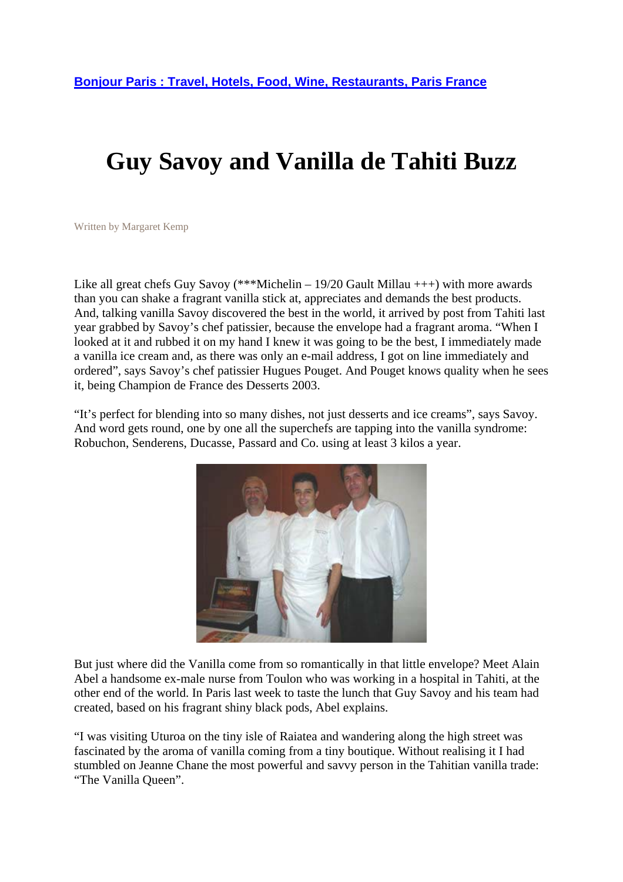## **Guy Savoy and Vanilla de Tahiti Buzz**

Written by Margaret Kemp

Like all great chefs Guy Savoy (\*\*\*Michelin – 19/20 Gault Millau  $++$ ) with more awards than you can shake a fragrant vanilla stick at, appreciates and demands the best products. And, talking vanilla Savoy discovered the best in the world, it arrived by post from Tahiti last year grabbed by Savoy's chef patissier, because the envelope had a fragrant aroma. "When I looked at it and rubbed it on my hand I knew it was going to be the best, I immediately made a vanilla ice cream and, as there was only an e-mail address, I got on line immediately and ordered", says Savoy's chef patissier Hugues Pouget. And Pouget knows quality when he sees it, being Champion de France des Desserts 2003.

"It's perfect for blending into so many dishes, not just desserts and ice creams", says Savoy. And word gets round, one by one all the superchefs are tapping into the vanilla syndrome: Robuchon, Senderens, Ducasse, Passard and Co. using at least 3 kilos a year.



But just where did the Vanilla come from so romantically in that little envelope? Meet Alain Abel a handsome ex-male nurse from Toulon who was working in a hospital in Tahiti, at the other end of the world. In Paris last week to taste the lunch that Guy Savoy and his team had created, based on his fragrant shiny black pods, Abel explains.

"I was visiting Uturoa on the tiny isle of Raiatea and wandering along the high street was fascinated by the aroma of vanilla coming from a tiny boutique. Without realising it I had stumbled on Jeanne Chane the most powerful and savvy person in the Tahitian vanilla trade: "The Vanilla Queen".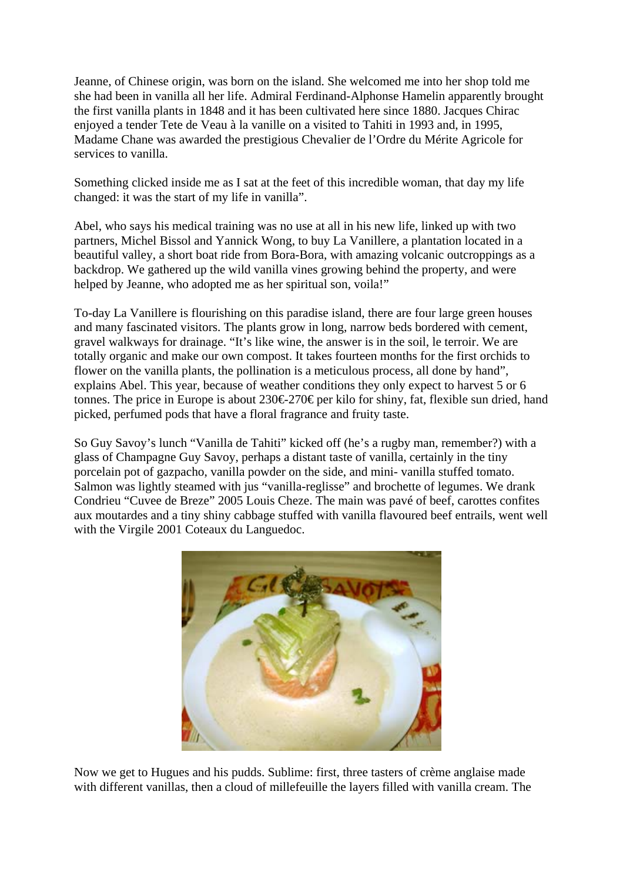Jeanne, of Chinese origin, was born on the island. She welcomed me into her shop told me she had been in vanilla all her life. Admiral Ferdinand-Alphonse Hamelin apparently brought the first vanilla plants in 1848 and it has been cultivated here since 1880. Jacques Chirac enjoyed a tender Tete de Veau à la vanille on a visited to Tahiti in 1993 and, in 1995, Madame Chane was awarded the prestigious Chevalier de l'Ordre du Mérite Agricole for services to vanilla.

Something clicked inside me as I sat at the feet of this incredible woman, that day my life changed: it was the start of my life in vanilla".

Abel, who says his medical training was no use at all in his new life, linked up with two partners, Michel Bissol and Yannick Wong, to buy La Vanillere, a plantation located in a beautiful valley, a short boat ride from Bora-Bora, with amazing volcanic outcroppings as a backdrop. We gathered up the wild vanilla vines growing behind the property, and were helped by Jeanne, who adopted me as her spiritual son, voila!"

To-day La Vanillere is flourishing on this paradise island, there are four large green houses and many fascinated visitors. The plants grow in long, narrow beds bordered with cement, gravel walkways for drainage. "It's like wine, the answer is in the soil, le terroir. We are totally organic and make our own compost. It takes fourteen months for the first orchids to flower on the vanilla plants, the pollination is a meticulous process, all done by hand", explains Abel. This year, because of weather conditions they only expect to harvest 5 or 6 tonnes. The price in Europe is about 230€270€ per kilo for shiny, fat, flexible sun dried, hand picked, perfumed pods that have a floral fragrance and fruity taste.

So Guy Savoy's lunch "Vanilla de Tahiti" kicked off (he's a rugby man, remember?) with a glass of Champagne Guy Savoy, perhaps a distant taste of vanilla, certainly in the tiny porcelain pot of gazpacho, vanilla powder on the side, and mini- vanilla stuffed tomato. Salmon was lightly steamed with jus "vanilla-reglisse" and brochette of legumes. We drank Condrieu "Cuvee de Breze" 2005 Louis Cheze. The main was pavé of beef, carottes confites aux moutardes and a tiny shiny cabbage stuffed with vanilla flavoured beef entrails, went well with the Virgile 2001 Coteaux du Languedoc.



Now we get to Hugues and his pudds. Sublime: first, three tasters of crème anglaise made with different vanillas, then a cloud of millefeuille the layers filled with vanilla cream. The